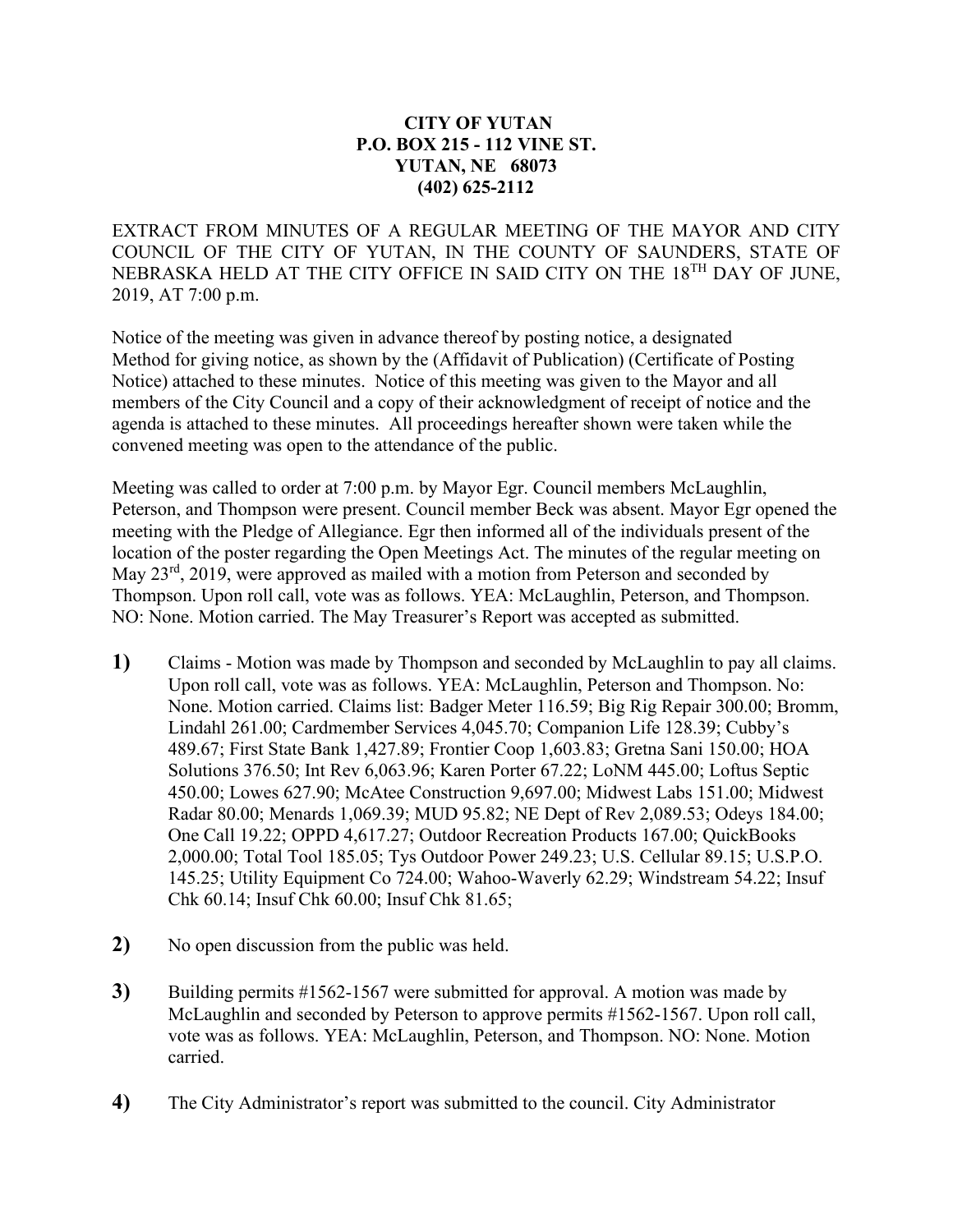## **CITY OF YUTAN P.O. BOX 215 - 112 VINE ST. YUTAN, NE 68073 (402) 625-2112**

EXTRACT FROM MINUTES OF A REGULAR MEETING OF THE MAYOR AND CITY COUNCIL OF THE CITY OF YUTAN, IN THE COUNTY OF SAUNDERS, STATE OF NEBRASKA HELD AT THE CITY OFFICE IN SAID CITY ON THE 18<sup>TH</sup> DAY OF JUNE, 2019, AT 7:00 p.m.

Notice of the meeting was given in advance thereof by posting notice, a designated Method for giving notice, as shown by the (Affidavit of Publication) (Certificate of Posting Notice) attached to these minutes. Notice of this meeting was given to the Mayor and all members of the City Council and a copy of their acknowledgment of receipt of notice and the agenda is attached to these minutes. All proceedings hereafter shown were taken while the convened meeting was open to the attendance of the public.

Meeting was called to order at 7:00 p.m. by Mayor Egr. Council members McLaughlin, Peterson, and Thompson were present. Council member Beck was absent. Mayor Egr opened the meeting with the Pledge of Allegiance. Egr then informed all of the individuals present of the location of the poster regarding the Open Meetings Act. The minutes of the regular meeting on May  $23<sup>rd</sup>$ , 2019, were approved as mailed with a motion from Peterson and seconded by Thompson. Upon roll call, vote was as follows. YEA: McLaughlin, Peterson, and Thompson. NO: None. Motion carried. The May Treasurer's Report was accepted as submitted.

- **1)** Claims Motion was made by Thompson and seconded by McLaughlin to pay all claims. Upon roll call, vote was as follows. YEA: McLaughlin, Peterson and Thompson. No: None. Motion carried. Claims list: Badger Meter 116.59; Big Rig Repair 300.00; Bromm, Lindahl 261.00; Cardmember Services 4,045.70; Companion Life 128.39; Cubby's 489.67; First State Bank 1,427.89; Frontier Coop 1,603.83; Gretna Sani 150.00; HOA Solutions 376.50; Int Rev 6,063.96; Karen Porter 67.22; LoNM 445.00; Loftus Septic 450.00; Lowes 627.90; McAtee Construction 9,697.00; Midwest Labs 151.00; Midwest Radar 80.00; Menards 1,069.39; MUD 95.82; NE Dept of Rev 2,089.53; Odeys 184.00; One Call 19.22; OPPD 4,617.27; Outdoor Recreation Products 167.00; QuickBooks 2,000.00; Total Tool 185.05; Tys Outdoor Power 249.23; U.S. Cellular 89.15; U.S.P.O. 145.25; Utility Equipment Co 724.00; Wahoo-Waverly 62.29; Windstream 54.22; Insuf Chk 60.14; Insuf Chk 60.00; Insuf Chk 81.65;
- **2)** No open discussion from the public was held.
- **3)** Building permits #1562-1567 were submitted for approval. A motion was made by McLaughlin and seconded by Peterson to approve permits #1562-1567. Upon roll call, vote was as follows. YEA: McLaughlin, Peterson, and Thompson. NO: None. Motion carried.
- **4)** The City Administrator's report was submitted to the council. City Administrator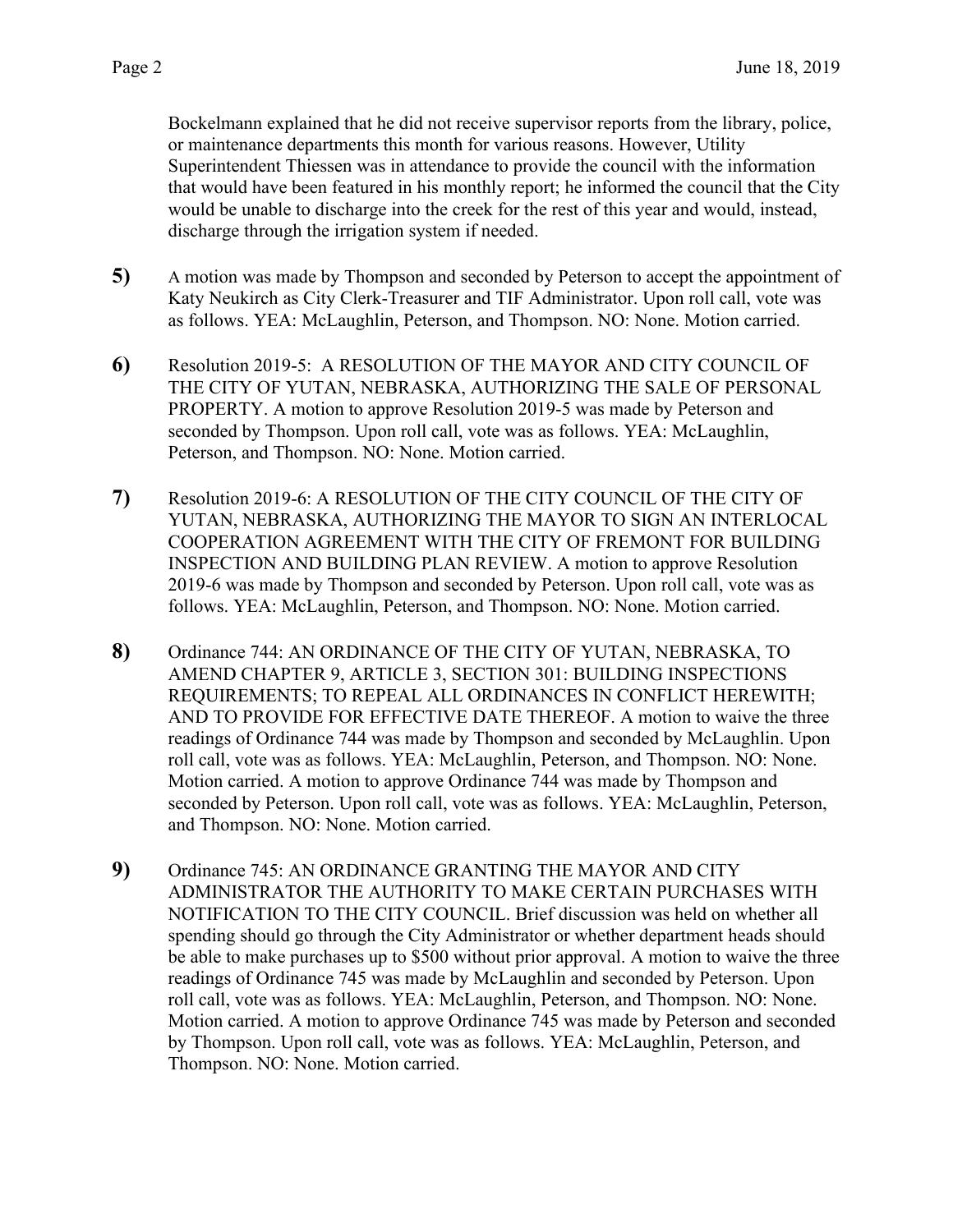Bockelmann explained that he did not receive supervisor reports from the library, police, or maintenance departments this month for various reasons. However, Utility Superintendent Thiessen was in attendance to provide the council with the information that would have been featured in his monthly report; he informed the council that the City would be unable to discharge into the creek for the rest of this year and would, instead, discharge through the irrigation system if needed.

- **5)** A motion was made by Thompson and seconded by Peterson to accept the appointment of Katy Neukirch as City Clerk-Treasurer and TIF Administrator. Upon roll call, vote was as follows. YEA: McLaughlin, Peterson, and Thompson. NO: None. Motion carried.
- **6)** Resolution 2019-5: A RESOLUTION OF THE MAYOR AND CITY COUNCIL OF THE CITY OF YUTAN, NEBRASKA, AUTHORIZING THE SALE OF PERSONAL PROPERTY. A motion to approve Resolution 2019-5 was made by Peterson and seconded by Thompson. Upon roll call, vote was as follows. YEA: McLaughlin, Peterson, and Thompson. NO: None. Motion carried.
- **7)** Resolution 2019-6: A RESOLUTION OF THE CITY COUNCIL OF THE CITY OF YUTAN, NEBRASKA, AUTHORIZING THE MAYOR TO SIGN AN INTERLOCAL COOPERATION AGREEMENT WITH THE CITY OF FREMONT FOR BUILDING INSPECTION AND BUILDING PLAN REVIEW. A motion to approve Resolution 2019-6 was made by Thompson and seconded by Peterson. Upon roll call, vote was as follows. YEA: McLaughlin, Peterson, and Thompson. NO: None. Motion carried.
- **8)** Ordinance 744: AN ORDINANCE OF THE CITY OF YUTAN, NEBRASKA, TO AMEND CHAPTER 9, ARTICLE 3, SECTION 301: BUILDING INSPECTIONS REQUIREMENTS; TO REPEAL ALL ORDINANCES IN CONFLICT HEREWITH; AND TO PROVIDE FOR EFFECTIVE DATE THEREOF. A motion to waive the three readings of Ordinance 744 was made by Thompson and seconded by McLaughlin. Upon roll call, vote was as follows. YEA: McLaughlin, Peterson, and Thompson. NO: None. Motion carried. A motion to approve Ordinance 744 was made by Thompson and seconded by Peterson. Upon roll call, vote was as follows. YEA: McLaughlin, Peterson, and Thompson. NO: None. Motion carried.
- **9)** Ordinance 745: AN ORDINANCE GRANTING THE MAYOR AND CITY ADMINISTRATOR THE AUTHORITY TO MAKE CERTAIN PURCHASES WITH NOTIFICATION TO THE CITY COUNCIL. Brief discussion was held on whether all spending should go through the City Administrator or whether department heads should be able to make purchases up to \$500 without prior approval. A motion to waive the three readings of Ordinance 745 was made by McLaughlin and seconded by Peterson. Upon roll call, vote was as follows. YEA: McLaughlin, Peterson, and Thompson. NO: None. Motion carried. A motion to approve Ordinance 745 was made by Peterson and seconded by Thompson. Upon roll call, vote was as follows. YEA: McLaughlin, Peterson, and Thompson. NO: None. Motion carried.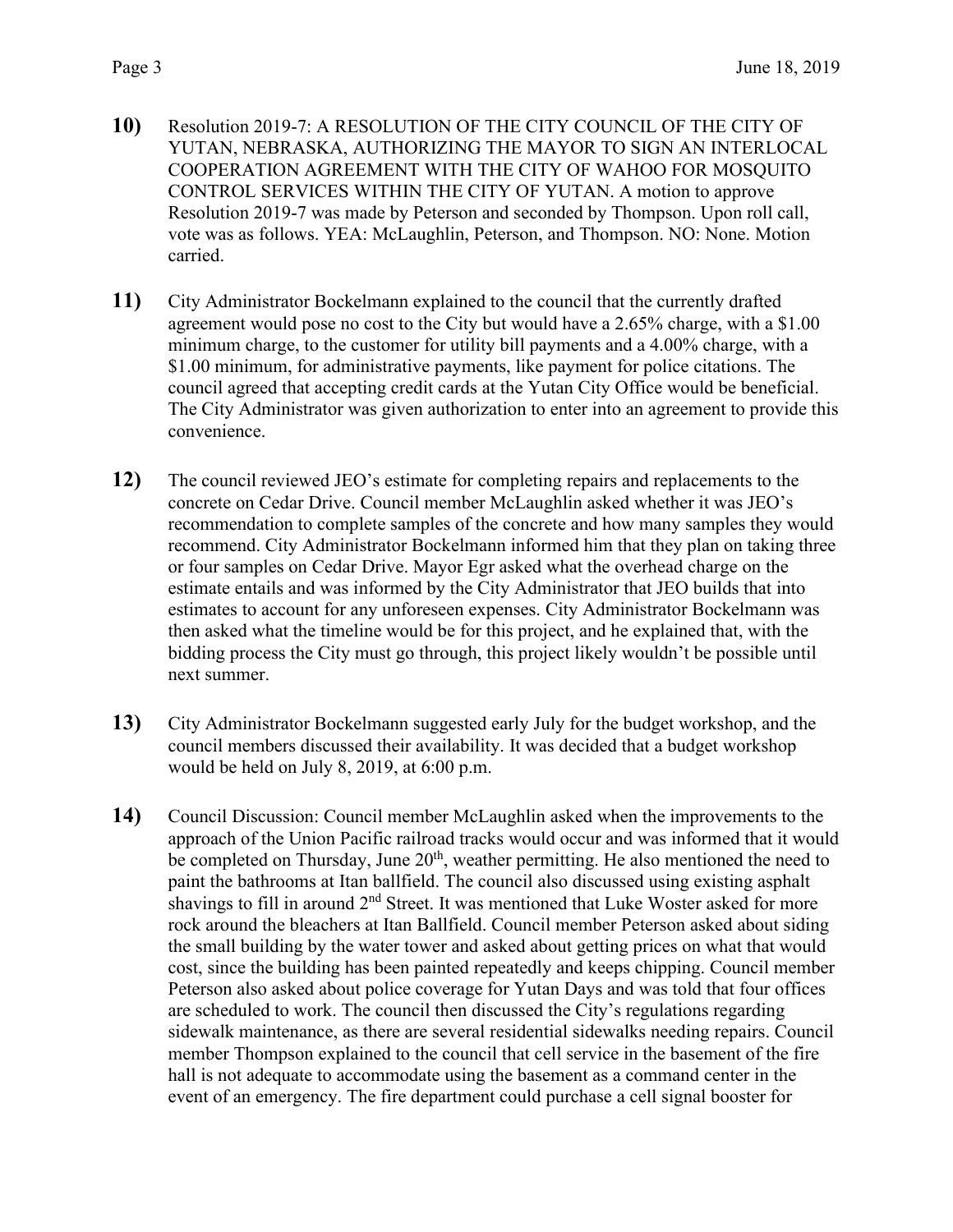- **10)** Resolution 2019-7: A RESOLUTION OF THE CITY COUNCIL OF THE CITY OF YUTAN, NEBRASKA, AUTHORIZING THE MAYOR TO SIGN AN INTERLOCAL COOPERATION AGREEMENT WITH THE CITY OF WAHOO FOR MOSQUITO CONTROL SERVICES WITHIN THE CITY OF YUTAN. A motion to approve Resolution 2019-7 was made by Peterson and seconded by Thompson. Upon roll call, vote was as follows. YEA: McLaughlin, Peterson, and Thompson. NO: None. Motion carried.
- **11)** City Administrator Bockelmann explained to the council that the currently drafted agreement would pose no cost to the City but would have a 2.65% charge, with a \$1.00 minimum charge, to the customer for utility bill payments and a 4.00% charge, with a \$1.00 minimum, for administrative payments, like payment for police citations. The council agreed that accepting credit cards at the Yutan City Office would be beneficial. The City Administrator was given authorization to enter into an agreement to provide this convenience.
- **12)** The council reviewed JEO's estimate for completing repairs and replacements to the concrete on Cedar Drive. Council member McLaughlin asked whether it was JEO's recommendation to complete samples of the concrete and how many samples they would recommend. City Administrator Bockelmann informed him that they plan on taking three or four samples on Cedar Drive. Mayor Egr asked what the overhead charge on the estimate entails and was informed by the City Administrator that JEO builds that into estimates to account for any unforeseen expenses. City Administrator Bockelmann was then asked what the timeline would be for this project, and he explained that, with the bidding process the City must go through, this project likely wouldn't be possible until next summer.
- **13)** City Administrator Bockelmann suggested early July for the budget workshop, and the council members discussed their availability. It was decided that a budget workshop would be held on July 8, 2019, at 6:00 p.m.
- **14)** Council Discussion: Council member McLaughlin asked when the improvements to the approach of the Union Pacific railroad tracks would occur and was informed that it would be completed on Thursday, June 20<sup>th</sup>, weather permitting. He also mentioned the need to paint the bathrooms at Itan ballfield. The council also discussed using existing asphalt shavings to fill in around  $2<sup>nd</sup>$  Street. It was mentioned that Luke Woster asked for more rock around the bleachers at Itan Ballfield. Council member Peterson asked about siding the small building by the water tower and asked about getting prices on what that would cost, since the building has been painted repeatedly and keeps chipping. Council member Peterson also asked about police coverage for Yutan Days and was told that four offices are scheduled to work. The council then discussed the City's regulations regarding sidewalk maintenance, as there are several residential sidewalks needing repairs. Council member Thompson explained to the council that cell service in the basement of the fire hall is not adequate to accommodate using the basement as a command center in the event of an emergency. The fire department could purchase a cell signal booster for